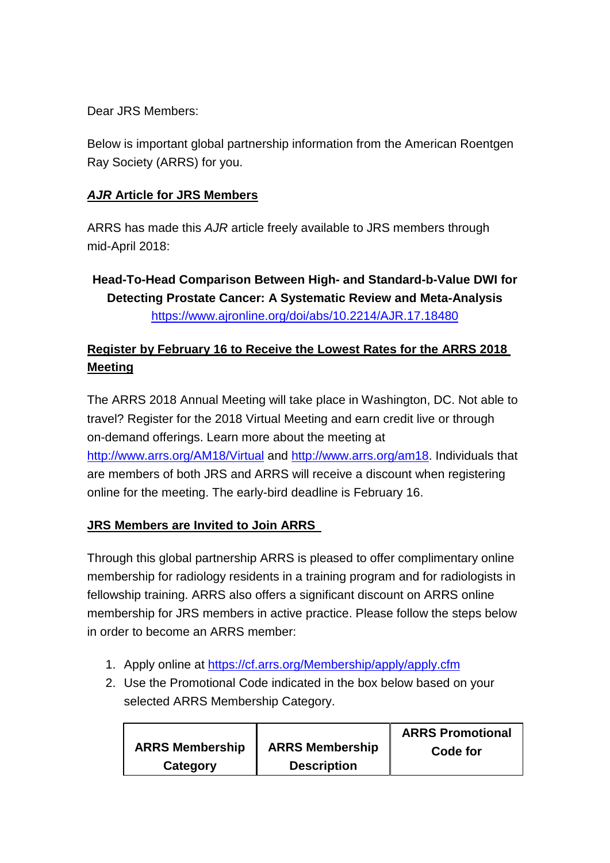Dear JRS Members:

Below is important global partnership information from the American Roentgen Ray Society (ARRS) for you.

## *AJR* **Article for JRS Members**

ARRS has made this *AJR* article freely available to JRS members through mid-April 2018:

**Head-To-Head Comparison Between High- and Standard-b-Value DWI for Detecting Prostate Cancer: A Systematic Review and Meta-Analysis** <https://www.ajronline.org/doi/abs/10.2214/AJR.17.18480>

## **Register by February 16 to Receive the Lowest Rates for the ARRS 2018 Meeting**

The ARRS 2018 Annual Meeting will take place in Washington, DC. Not able to travel? Register for the 2018 Virtual Meeting and earn credit live or through on-demand offerings. Learn more about the meeting at <http://www.arrs.org/AM18/Virtual> and [http://www.arrs.org/am18.](http://www.arrs.org/am18) Individuals that are members of both JRS and ARRS will receive a discount when registering online for the meeting. The early-bird deadline is February 16.

## **JRS Members are Invited to Join ARRS**

Through this global partnership ARRS is pleased to offer complimentary online membership for radiology residents in a training program and for radiologists in fellowship training. ARRS also offers a significant discount on ARRS online membership for JRS members in active practice. Please follow the steps below in order to become an ARRS member:

- 1. Apply online at<https://cf.arrs.org/Membership/apply/apply.cfm>
- 2. Use the Promotional Code indicated in the box below based on your selected ARRS Membership Category.

|                        |                        | <b>ARRS Promotional</b> |
|------------------------|------------------------|-------------------------|
| <b>ARRS Membership</b> | <b>ARRS Membership</b> | Code for                |
| Category               | <b>Description</b>     |                         |